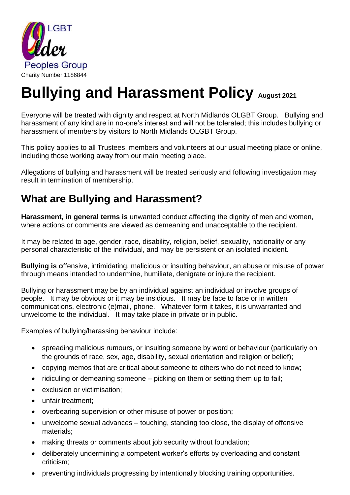

# **Bullying and Harassment Policy August 2021**

Everyone will be treated with dignity and respect at North Midlands OLGBT Group. Bullying and harassment of any kind are in no-one's interest and will not be tolerated; this includes bullying or harassment of members by visitors to North Midlands OLGBT Group.

This policy applies to all Trustees, members and volunteers at our usual meeting place or online, including those working away from our main meeting place.

Allegations of bullying and harassment will be treated seriously and following investigation may result in termination of membership.

## **What are Bullying and Harassment?**

**Harassment, in general terms is** unwanted conduct affecting the dignity of men and women, where actions or comments are viewed as demeaning and unacceptable to the recipient.

It may be related to age, gender, race, disability, religion, belief, sexuality, nationality or any personal characteristic of the individual, and may be persistent or an isolated incident.

**Bullying is o**ffensive, intimidating, malicious or insulting behaviour, an abuse or misuse of power through means intended to undermine, humiliate, denigrate or injure the recipient.

Bullying or harassment may be by an individual against an individual or involve groups of people. It may be obvious or it may be insidious. It may be face to face or in written communications, electronic (e)mail, phone. Whatever form it takes, it is unwarranted and unwelcome to the individual. It may take place in private or in public.

Examples of bullying/harassing behaviour include:

- spreading malicious rumours, or insulting someone by word or behaviour (particularly on the grounds of race, sex, age, disability, sexual orientation and religion or belief);
- copying memos that are critical about someone to others who do not need to know;
- ridiculing or demeaning someone picking on them or setting them up to fail;
- exclusion or victimisation;
- unfair treatment:
- overbearing supervision or other misuse of power or position;
- unwelcome sexual advances touching, standing too close, the display of offensive materials;
- making threats or comments about job security without foundation;
- deliberately undermining a competent worker's efforts by overloading and constant criticism;
- preventing individuals progressing by intentionally blocking training opportunities.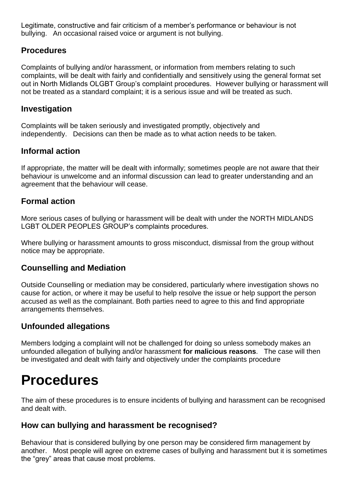Legitimate, constructive and fair criticism of a member's performance or behaviour is not bullying. An occasional raised voice or argument is not bullying.

## **Procedures**

Complaints of bullying and/or harassment, or information from members relating to such complaints, will be dealt with fairly and confidentially and sensitively using the general format set out in North Midlands OLGBT Group's complaint procedures. However bullying or harassment will not be treated as a standard complaint; it is a serious issue and will be treated as such.

## **Investigation**

Complaints will be taken seriously and investigated promptly, objectively and independently. Decisions can then be made as to what action needs to be taken.

## **Informal action**

If appropriate, the matter will be dealt with informally; sometimes people are not aware that their behaviour is unwelcome and an informal discussion can lead to greater understanding and an agreement that the behaviour will cease.

## **Formal action**

More serious cases of bullying or harassment will be dealt with under the NORTH MIDLANDS LGBT OLDER PEOPLES GROUP's complaints procedures.

Where bullying or harassment amounts to gross misconduct, dismissal from the group without notice may be appropriate.

## **Counselling and Mediation**

Outside Counselling or mediation may be considered, particularly where investigation shows no cause for action, or where it may be useful to help resolve the issue or help support the person accused as well as the complainant. Both parties need to agree to this and find appropriate arrangements themselves.

## **Unfounded allegations**

Members lodging a complaint will not be challenged for doing so unless somebody makes an unfounded allegation of bullying and/or harassment **for malicious reasons**. The case will then be investigated and dealt with fairly and objectively under the complaints procedure

## **Procedures**

The aim of these procedures is to ensure incidents of bullying and harassment can be recognised and dealt with.

## **How can bullying and harassment be recognised?**

Behaviour that is considered bullying by one person may be considered firm management by another. Most people will agree on extreme cases of bullying and harassment but it is sometimes the "grey" areas that cause most problems.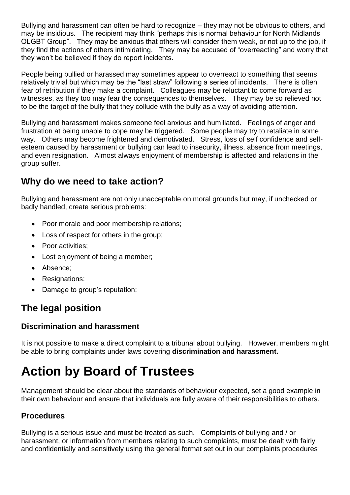Bullying and harassment can often be hard to recognize – they may not be obvious to others, and may be insidious. The recipient may think "perhaps this is normal behaviour for North Midlands OLGBT Group". They may be anxious that others will consider them weak, or not up to the job, if they find the actions of others intimidating. They may be accused of "overreacting" and worry that they won't be believed if they do report incidents.

People being bullied or harassed may sometimes appear to overreact to something that seems relatively trivial but which may be the "last straw" following a series of incidents. There is often fear of retribution if they make a complaint. Colleagues may be reluctant to come forward as witnesses, as they too may fear the consequences to themselves. They may be so relieved not to be the target of the bully that they collude with the bully as a way of avoiding attention.

Bullying and harassment makes someone feel anxious and humiliated. Feelings of anger and frustration at being unable to cope may be triggered. Some people may try to retaliate in some way. Others may become frightened and demotivated. Stress, loss of self confidence and selfesteem caused by harassment or bullying can lead to insecurity, illness, absence from meetings, and even resignation. Almost always enjoyment of membership is affected and relations in the group suffer.

## **Why do we need to take action?**

Bullying and harassment are not only unacceptable on moral grounds but may, if unchecked or badly handled, create serious problems:

- Poor morale and poor membership relations;
- Loss of respect for others in the group;
- Poor activities:
- Lost enjoyment of being a member:
- Absence;
- Resignations;
- Damage to group's reputation;

## **The legal position**

## **Discrimination and harassment**

It is not possible to make a direct complaint to a tribunal about bullying. However, members might be able to bring complaints under laws covering **discrimination and harassment.**

## **Action by Board of Trustees**

Management should be clear about the standards of behaviour expected, set a good example in their own behaviour and ensure that individuals are fully aware of their responsibilities to others.

## **Procedures**

Bullying is a serious issue and must be treated as such. Complaints of bullying and / or harassment, or information from members relating to such complaints, must be dealt with fairly and confidentially and sensitively using the general format set out in our complaints procedures